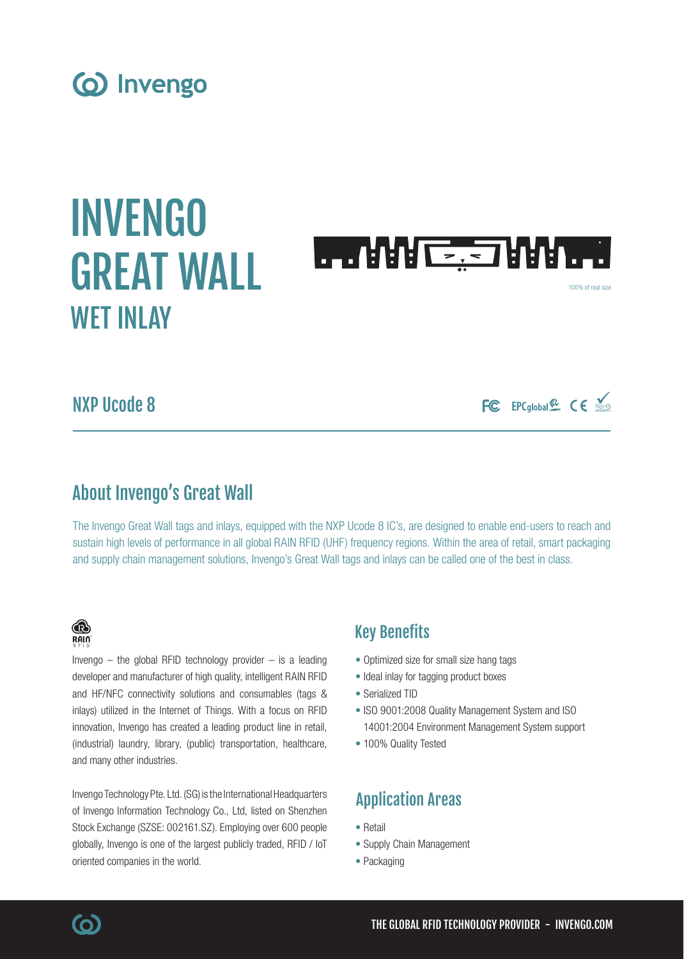# (o) Invengo

# INVENGO **DERANCE DAARDE** GREAT WALL 100% of real size **WET INI AY**

## NXP Ucode 8

## About Invengo's Great Wall

The Invengo Great Wall tags and inlays, equipped with the NXP Ucode 8 IC's, are designed to enable end-users to reach and sustain high levels of performance in all global RAIN RFID (UHF) frequency regions. Within the area of retail, smart packaging and supply chain management solutions, Invengo's Great Wall tags and inlays can be called one of the best in class.

## ® RAIN

Invengo  $-$  the global RFID technology provider  $-$  is a leading developer and manufacturer of high quality, intelligent RAIN RFID and HF/NFC connectivity solutions and consumables (tags & inlays) utilized in the Internet of Things. With a focus on RFID innovation, Invengo has created a leading product line in retail, (industrial) laundry, library, (public) transportation, healthcare, and many other industries.

Invengo Technology Pte. Ltd. (SG) is the International Headquarters of Invengo Information Technology Co., Ltd, listed on Shenzhen Stock Exchange (SZSE: 002161.SZ). Employing over 600 people globally, Invengo is one of the largest publicly traded, RFID / IoT oriented companies in the world.

## Key Benefits

- Optimized size for small size hang tags
- Ideal inlay for tagging product boxes
- Serialized TID
- ISO 9001:2008 Quality Management System and ISO 14001:2004 Environment Management System support

FC EPCglobal & CE ROHIS

• 100% Quality Tested

## Application Areas

- Retail
- Supply Chain Management
- Packaging